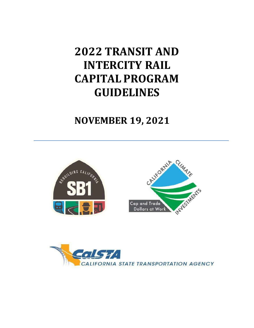# **2022 TRANSIT AND INTERCITY RAIL CAPITAL PROGRAM GUIDELINES**

## **NOVEMBER 19, 2021**





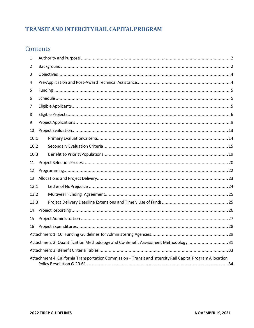## **TRANSIT AND INTERCITY RAIL CAPITAL PROGRAM**

## Contents

| 1                                                                                                          |  |  |  |
|------------------------------------------------------------------------------------------------------------|--|--|--|
| 2                                                                                                          |  |  |  |
| 3                                                                                                          |  |  |  |
| 4                                                                                                          |  |  |  |
| 5                                                                                                          |  |  |  |
| 6                                                                                                          |  |  |  |
| 7                                                                                                          |  |  |  |
| 8                                                                                                          |  |  |  |
| 9                                                                                                          |  |  |  |
| 10                                                                                                         |  |  |  |
| 10.1                                                                                                       |  |  |  |
| 10.2                                                                                                       |  |  |  |
| 10.3                                                                                                       |  |  |  |
| 11                                                                                                         |  |  |  |
| 12                                                                                                         |  |  |  |
| 13                                                                                                         |  |  |  |
| 13.1                                                                                                       |  |  |  |
| 13.2                                                                                                       |  |  |  |
| 13.3                                                                                                       |  |  |  |
| 14                                                                                                         |  |  |  |
| 15                                                                                                         |  |  |  |
| 16                                                                                                         |  |  |  |
|                                                                                                            |  |  |  |
| Attachment 2: Quantification Methodology and Co-Benefit Assessment Methodology 31                          |  |  |  |
|                                                                                                            |  |  |  |
| Attachment 4: California Transportation Commission - Transit and Intercity Rail Capital Program Allocation |  |  |  |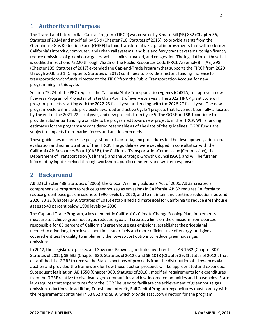## <span id="page-2-0"></span>**1 Authority andPurpose**

The Transit and Intercity Rail Capital Program (TIRCP) was created by Senate Bill (SB) 862 (Chapter 36, Statutes of 2014) and modified by SB 9 (Chapter 710, Statutes of 2015), to provide grants from the Greenhouse Gas Reduction Fund (GGRF) to fund transformative capital improvements that will modernize California's intercity, commuter, and urban rail systems, and bus and ferry transit systems, to significantly reduce emissions of greenhouse gases, vehicle miles traveled, and congestion. The legislation of these bills is codified in Sections 75220 through 75225 of the Public Resources Code (PRC). Assembly Bill (AB) 398 (Chapter 135, Statutes of 2017) extended the Cap-and-Trade Program that supports the TIRCP from 2020 through 2030. SB 1 (Chapter 5, Statutes of 2017) continues to provide a historic funding increase for transportation with funds directed to the TIRCP from the Public Transportation Account for new programming in this cycle.

Section 75224 of the PRC requires the California State Transportation Agency (CalSTA) to approve a new five-year Program of Projects not later than April 1 of every even year. The 2022 TIRCP grant cycle will program projects starting with the 2022-23 fiscal year and ending with the 2026-27 fiscal year. The new program cycle will include previously awarded and active Cycle 4 projects that have not been fully allocated by the end of the 2021-22 fiscal year, and new projects from Cycle 5. The GGRF and SB 1 continue to provide substantial funding available to be programed toward new projects in the TIRCP. While funding estimates for the program are considered reasonable as of the date of the guidelines, GGRF funds are subject to impacts from market forces and auction proceeds.

These guidelines describe the policy, standards, criteria, and procedures for the development, adoption, evaluation and administration of the TIRCP. The guidelines were developed in consultation with the California Air Resources Board (CARB), the California Transportation Commission (Commission), the Department of Transportation (Caltrans), and the Strategic Growth Council (SGC), and will be further informed by input received through workshops, public comments and written responses.

## <span id="page-2-1"></span>**2 Background**

AB 32 (Chapter 488, Statutes of 2006), the Global Warming Solutions Act of 2006, AB 32 created a comprehensive program to reduce greenhouse gas emissions in California. AB 32 requires California to reduce greenhouse gas emissions to 1990 levels by 2020, and to maintain and continue reductions beyond 2020. SB 32 (Chapter 249, Statutes of 2016) established a climate goal for California to reduce greenhouse gases to 40 percent below 1990 levels by 2030.

The Cap-and-Trade Program, a key element in California's Climate Change Scoping Plan, implements measure to achieve greenhouse gas reduction goals. It creates a limit on the emissions from sources responsible for 85 percent of California's greenhouse gas emissions, establishes the price signal needed to drive long-term investment in cleaner fuels and more efficient use of energy, and gives covered entities flexibility to implement the lowest-cost options to reduce greenhouse gas emissions.

In 2012, the Legislature passed and Governor Brown signed into law three bills, AB 1532 (Chapter 807, Statutes of 2012), SB 535 (Chapter 830, Statutes of 2012), and SB 1018 (Chapter 39, Statutes of 2012), that established the GGRF to receive the State's portions of proceeds from the distribution of allowances via auction and provided the framework for how those auction proceeds will be appropriated and expended. Subsequent legislation, AB 1550 (Chapter 369, Statutes of 2016), modified requirements for expenditures from the GGRF relative to disadvantaged communities and low-income communities and households. State law requires that expenditures from the GGRF be used to facilitate the achievement of greenhouse gas emission reductions. In addition, Transit and Intercity Rail Capital Program expenditures must comply with the requirements contained in SB 862 and SB 9, which provide statutory direction for the program.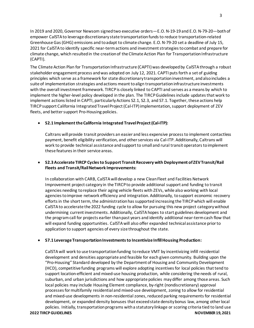In 2019 and 2020, Governor Newsom signed two executive orders—E.O. N-19-19 and E.O. N-79-20—both of empower CalSTA to leverage discretionary state transportation funds to reduce transportation-related Greenhouse Gas (GHG) emissions and to adapt to climate change. E.O. N-79-20 set a deadline of July 15, 2021 for CalSTA to identify specific near-term actions and investment strategies to combat and prepare for climate change, which resulted in the creation of the Climate Action Plan for Transportation Infrastructure (CAPTI).

The Climate Action Plan for Transportation Infrastructure (CAPTI) was developed by CalSTA through a robust stakeholder engagement process and was adopted on July 12, 2021. CAPTI puts forth a set of guiding principles which serve as a framework for state discretionary transportation investment, and also includes a suite of implementation strategies and actions meant to align transportation infrastructure investments with the overall investment framework. TIRCP is closely linked to CAPTI and serves as a means by which to implement the higher-level policy developed in the plan. The TIRCP Guidelines include updates that work to implement actions listed in CAPTI, particularly Actions S2.1, S2.3, and S7.1. Together, these actions help TIRCP support California Integrated Travel Project (Cal-ITP)implementation, support deployment of ZEV fleets, and better support Pro-Housing policies.

#### • **S2.1 Implement the California Integrated Travel Project (Cal-ITP):**

Caltrans will provide transit providers an easier and less expensive process to implement contactless payment, benefit eligibility verification, and other services via Cal-ITP. Additionally, Caltrans will work to provide technical assistance and support to small and rural transit operators to implement these features in their service areas.

#### • **S2.3 Accelerate TIRCP Cycles to Support Transit Recovery with Deployment of ZEV Transit/Rail Fleets and Transit/Rail Network Improvements:**

In collaboration with CARB, CalSTA will develop a new Clean Fleet and Facilities Network Improvement project category in the TIRCP to provide additional support and funding to transit agencies needing to replace their aging vehicle fleets with ZEVs, while also working with local agencies to improve network efficiency and integration. Additionally, to support economic recovery efforts in the short term, the administration has supported increasing the TIRCP which will enable CalSTA to accelerate the 2022 funding cycle to allow for pursuing this new project category without undermining current investments. Additionally, CalSTA hopes to start guidelines development and the programcall for projects earlier than past years and identify additional near-term cash flow that will expand funding opportunities. CalSTA will also offer expanded technical assistance prior to application to support agencies of every size throughout the state.

#### • **S7.1 Leverage Transportation Investments to Incentivize Infill Housing Production:**

**2022 TIRCP GUIDELINES NOVEMBER 19, 2021** CalSTA will work to use transportation funding to reduce VMT by incentivizing infill residential development and densities appropriate and feasible for each given community. Building upon the "Pro-Housing" Standard developed by the Department of Housing and Community Development (HCD), competitive funding programs will explore adopting incentives for local policies that tend to support location-efficient and mixed-use housing production, while considering the needs of rural, suburban, and urban jurisdictions and how appropriate policies may differ among those areas. Such local policies may include Housing Element compliance, by-right (nondiscretionary) approval processes for multifamily residential and mixed-use development, zoning to allow for residential and mixed-use developments in non-residential zones, reduced parking requirements for residential development, or expanded density bonuses that exceed state density bonus law, among other local policies. Initially, transportation programs with a statutory linkage or scoring criteria tied to land use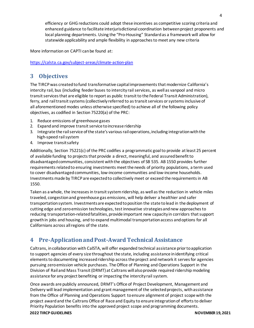efficiency or GHG reductions could adopt these incentives as competitive scoring criteria and enhanced guidance to facilitate interjurisdictional coordination between project proponents and local planning departments. Using the "Pro-Housing" Standard as a framework will allow for statewide applicability and ample flexibility in approaches to meet any new criteria

More information on CAPTI can be found at:

#### <https://calsta.ca.gov/subject-areas/climate-action-plan>

## <span id="page-4-0"></span>**3 Objectives**

The TIRCP was created to fund transformative capital improvements that modernize California's intercity rail, bus (including feeder buses to intercity rail services, as well as vanpool and micro transit services that are eligible to report as public transit to the Federal Transit Administration), ferry, and rail transit systems (collectively referred to as transit services or systems inclusive of all aforementioned modes unless otherwise specified) to achieve all of the following policy objectives, as codified in Section 75220(a) of the PRC:

- 1. Reduce emissions of greenhouse gases
- 2. Expand and improve transit service to increase ridership
- 3. Integrate the rail service of the state's various rail operations, including integration with the high-speed railsystem
- 4. Improve transitsafety

Additionally, Section 75221(c) of the PRC codifies a programmatic goal to provide at least 25 percent of available funding to projects that provide a direct, meaningful, and assured benefit to disadvantaged communities, consistent with the objectives of SB 535. AB 1550 provides further requirements related to ensuring investments meet the needs of priority populations, a term used to cover disadvantaged communities, low-income communities and low-income households. Investments made by TIRCP are expected to collectively meet or exceed the requirements in AB 1550.

Taken as a whole, the increases in transit system ridership, as well as the reduction in vehicle miles traveled, congestion and greenhouse gas emissions, will help deliver a healthier and safer transportation system. Investments are expected to position the state to lead in the deployment of cutting edge and zero emission technologies, test innovative strategies and new approaches to reducing transportation-related fatalities, provide important new capacity in corridors that support growth in jobs and housing, and to expand multimodal transportation access and options for all Californians across all regions of the state.

## <span id="page-4-1"></span>**4 Pre-Application and Post-Award Technical Assistance**

Caltrans, in collaboration with CalSTA, will offer expanded technical assistance prior to application to support agencies of every size throughout the state, including assistance in identifying critical elements to documenting increased ridership across the project and network it serves for agencies pursuing zero emission vehicle purchases. The Office of Planning and Operations Support in the Division of Rail and Mass Transit (DRMT) at Caltrans will also provide required ridership modeling assistance for any project benefiting or impacting the intercity rail system.

Once awards are publicly announced, DRMT's Office of Project Development, Management and Delivery will lead implementation and grant management of the selected projects, with assistance from the Office of Planning and Operations Support to ensure alignment of project scope with the project award and the Caltrans Office of Race and Equity to ensure integration of efforts to deliver Priority Population benefits into the approved project scope and programming documents.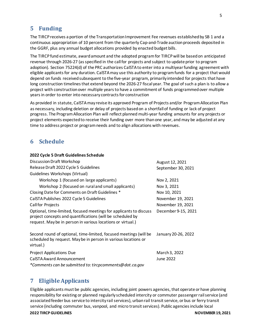## <span id="page-5-0"></span>**5 Funding**

The TIRCP receives a portion of the Transportation Improvement Fee revenues established by SB 1 and a continuous appropriation of 10 percent from the quarterly Cap-and-Trade auction proceeds deposited in the GGRF, plus any annual budget allocations provided by enacted budget bills.

The TIRCP fund estimate, award amount and the adopted program for TIRCP will be based on anticipated revenue through 2026-27 (as specified in the call for projects and subject to update prior to program adoption). Section 75224(d) of the PRC authorizes CalSTA to enter into a multiyear funding agreement with eligible applicants for any duration. CalSTA may use this authority to program funds for a project that would depend on funds received subsequent to the five-year program, primarily intended for projects that have long construction timelines that extend beyond the 2026-27 fiscal year. The goal of such a plan is to allow a project with construction over multiple years to have a commitment of funds programmed over multiple years in order to enter into necessary contracts for construction

As provided in statute, CalSTA may revise its approved Program of Projects and/or Program Allocation Plan as necessary, including deletion or delay of projects based on a shortfall of funding or lack of project progress. The Program Allocation Plan will reflect planned multi-year funding amounts for any projects or project elements expected to receive their funding over more than one year, and may be adjusted at any time to address project or program needs and to align allocations with revenues.

## <span id="page-5-1"></span>**6 Schedule**

| 2022 Cycle 5 Draft Guidelines Schedule                                                                                                                                                          |                     |
|-------------------------------------------------------------------------------------------------------------------------------------------------------------------------------------------------|---------------------|
| Discussion Draft Workshop                                                                                                                                                                       | August 12, 2021     |
| Release Draft 2022 Cycle 5 Guidelines                                                                                                                                                           | September 30, 2021  |
| Guidelines Workshops (Virtual)                                                                                                                                                                  |                     |
| Workshop 1 (focused on large applicants)                                                                                                                                                        | Nov 2, 2021         |
| Workshop 2 (focused on rural and small applicants)                                                                                                                                              | Nov 3, 2021         |
| Closing Date for Comments on Draft Guidelines *                                                                                                                                                 | Nov 10, 2021        |
| CalSTA Publishes 2022 Cycle 5 Guidelines                                                                                                                                                        | November 19, 2021   |
| <b>Call for Projects</b>                                                                                                                                                                        | November 19, 2021   |
| Optional, time-limited, focused meetings for applicants to discuss<br>project concepts and quantifications (will be scheduled by<br>request. May be in person in various locations or virtual.) | December 9-15, 2021 |
| Second round of optional, time-limited, focused meetings (will be<br>scheduled by request. May be in person in various locations or<br>virtual.)                                                | January 20-26, 2022 |
| <b>Project Applications Due</b>                                                                                                                                                                 | March 3, 2022       |
| <b>CalSTA Award Announcement</b>                                                                                                                                                                | June 2022           |
| * Cancella and a basic building the distribution of the control of the first of $\mathbb{C}$                                                                                                    |                     |

*\*Comments can be submitted to: tircpcomments@dot.ca.gov*

## <span id="page-5-2"></span>**7 EligibleApplicants**

Eligible applicants must be public agencies, including joint powers agencies, that operate or have planning responsibility for existing or planned regularly scheduled intercity or commuter passenger rail service (and associated feeder bus service to intercity rail services), urban rail transit service, or bus or ferry transit service (including commuter bus, vanpool, and micro transit services). Public agencies include local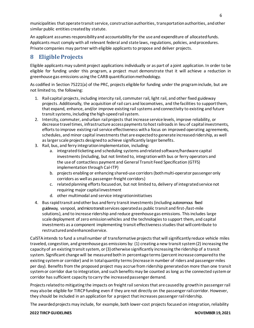municipalities that operate transit service, construction authorities, transportation authorities, and other similar public entities created by statute.

An applicant assumes responsibility and accountability for the use and expenditure of allocated funds. Applicants must comply with all relevant federal and state laws, regulations, policies, and procedures. Private companies may partner with eligible applicants to propose and deliver projects.

## <span id="page-6-0"></span>**8 EligibleProjects**

Eligible applicants may submit project applications individually or as part of a joint application. In order to be eligible for funding under this program, a project must demonstrate that it will achieve a reduction in greenhouse gas emissions using the CARB quantificationmethodology.

As codified in Section 75221(a) of the PRC, projects eligible for funding under the program include, but are not limited to, the following:

- 1. Rail capital projects, including intercity rail, commuter rail, light rail, and other fixed guideway projects. Additionally, the acquisition of rail cars and locomotives, and the facilities to supportthem, that expand, enhance, and/or improve existing rail systems and connectivity to existing and future transit systems, including the high-speed rail system.
- 2. Intercity, commuter, and urban rail projects that increase service levels, improve reliability, or decrease travel times, infrastructure access payments to host railroads in lieu of capital investments, efforts to improve existing rail service effectiveness with a focus on improved operating agreements, schedules, and minor capital investments that are expected to generate increased ridership, as well as larger scale projects designed to achieve significantly larger benefits.
- 3. Rail, bus, and ferry integration implementation, including:
	- a. integrated ticketing and scheduling systems and related software/hardware capital investments (including, but not limited to, integration with bus or ferry operators and the use of contactless payment and General Transit Feed Specification (GTFS) implementation through Cal-ITP)
	- b. projects enabling or enhancing shared-use corridors(bothmulti-operator passenger only corridors as well as passenger-freight corridors)
	- c. related planning efforts focused on, but not limited to, delivery of integrated service not requiring major capital investment
	- d. other multimodal and service integrationinitiatives
- 4. Busrapidtransit andother bus andferry transitinvestments(including autonomous fixed guideway, vanpool, and microtransit services operated as public transit and first-/last-mile solutions), and to increase ridership and reduce greenhouse gas emissions. This includes large scale deployment of zero emission vehicles and the technologies to support them, and capital investments as a component implementing transit effectiveness studies that will contribute to restructured and enhancedservice.

CalSTA intends to fund a small number of transformative projects that will significantly reduce vehicle miles traveled, congestion, and greenhouse gas emissions by: (1) creating a new transit system (2) increasing the capacity of an existing transit system, or (3) otherwise significantly increasing the ridership of a transit system. Significant change will be measured both in percentage terms (percent increase compared to the existing system or corridor) and in total quantity terms (increase in number of riders and passenger miles per day). Benefits from the proposed project may accrue from ridership generated on more than one transit system or corridor due to integration, and such benefits may be counted as long as the connected system or corridor has sufficient capacity to carry the increased passenger demand.

Projects related to mitigating the impacts on freight rail services that are causedby growth in passenger rail may also be eligible for TIRCP funding even if they are not directly on the passenger rail corridor. However, they should be included in an application for a project that increases passenger rail ridership.

The awarded projects may include, for example, both lower-cost projects focused on integration, reliability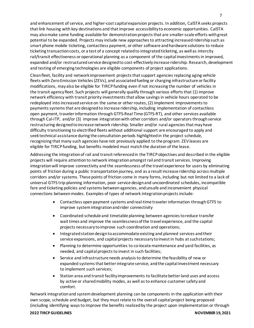and enhancement of service, and higher-cost capital expansion projects. In addition, CalSTA seeks projects that link housing with key destinations and that improve accessibility to economic opportunities. CalSTA may also make some funding available for demonstration projects that are smaller-scale efforts with great potential to be expanded. Projects may include new approaches to attracting increased ridership such as smart phone mobile ticketing, contactless payment, or other software and hardware solutions to reduce ticketing transaction costs, or a test of a concept related to integrated ticketing, as well as intercity rail/transit effectiveness or operational planning as a component of the capital investments in improved, expanded and/or restructured service designed to cost-effectively increase ridership. Research, development and testing of emerging technologies are eligible components of project applications.

Clean fleet, facility and network improvement projects that support agencies replacing aging vehicle fleets with Zero Emission Vehicles (ZEVs), and associated fueling or charging infrastructure or facility modifications, may also be eligible for TIRCP funding even if not increasing the number of vehicles in the transit agency fleet. Such projects will generally qualify through various efforts that (1) improve network efficiency with transit priority investments that allow savings in vehicle hours operated to be redeployed into increased service on the same or other routes, (2) implement improvements to payments systemsthat are designed to increase ridership, including implementation of contactless open payment, traveler information through GTFS-Real Time (GTFS-RT), and other services available through Cal-ITP, and/or (3) improve integration with other corridors and/or operators through service restructuring designed to increase network ridership. Smaller and/or rural agencies that may have difficulty transitioning to electrified fleets without additional support are encouraged to apply and seek technical assistance during the consultation periods highlighted in the project schedule, recognizing that many such agencies have not previously applied to the program. ZEV leases are eligible for TIRCP funding, but benefits modeled must match the duration of the lease.

Addressing the integration of rail and transit referenced in the TIRCP objectives and described in the eligible projects will require attention to network integration amongst rail and transit services. Improving integration will improve connectivity and the seamlessness of the travel experience for users by eliminating points of friction during a public transportation journey, and as a result increase ridership across multiple corridors and/or systems. These points of friction come in many forms, including but not limited to a lack of universal GTFS trip-planning information, poor service design and uncoordinated schedules, incompatible fare and ticketing policies and systems between agencies, and unsafe and inconvenient physical connections between modes. Examples of types of network integration projects include:

- Contactless open payment systems and real-time traveler information through GTFS to improve system integration and rider connectivity
- Coordinated schedule and timetable planning between agencies to reduce transfer wait times and improve the seamlessness of the travel experience, and the capital projects necessary to improve such coordination and operations;
- Integrated station design to accommodate existing and planned services and their service expansions, and capital projects necessary to invest in hubs at suchstations;
- Planning to determine opportunities to co-locate maintenance and yard facilities, as needed, and capital projects to invest in such facilities;
- Service and infrastructure needs analysis to determine the feasibility of new or expanded systems that better integrate service, and the capital investment necessary to implement such services;
- Station area and transit facility improvements to facilitate better land uses and access by active or shared mobility modes, as well as to enhance customer safety and comfort.

Network integration and system development planning can be components in the application with their own scope, schedule and budget, but they must relate to the overall capital project being proposed (including identifying ways to improve the benefits realized by the project upon implementation or through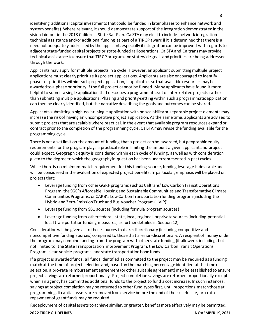identifying additional capital investments that could be funded in later phases to enhance network and system benefits). Where relevant, it should demonstrate support of the integration demonstrated in the vision laid out in the 2018 California State Rail Plan. CalSTA may elect to include network integration technical assistance and/or additional funding as part of a TIRCP award if it is determined that there is a need not adequately addressed by the applicant, especially if integration can be improved with regards to adjacent state-funded capital projects or state-funded rail operations. CalSTA and Caltrans may provide technical assistance to ensure that TIRCP program and statewide goals and priorities are being addressed through the work.

Applicants may apply for multiple projects in a cycle. However, an applicant submitting multiple project applications must clearly prioritize its project applications. Applicants are also encouraged to identify phases or priorities within each project application, if applicable, so that available resources may be awarded to a phase or priority if the full project cannot be funded. Many applicants have found it more helpful to submit a single application that describes a programmatic set of inter-related projects rather than submitting multiple applications. Phasing and priority-setting within such a programmatic application can then be clearly identified, but the narrative describing the goals and outcomes can be shared.

Applicants submitting a high-dollar, single application with no scalability or separable project elements may increase the risk of having an uncompetitive project application. At the same time, applicants are advised to submit projects that are scalable where practical. In the event that available program resources expand or contract prior to the completion of the programming cycle, CalSTA may revise the funding available for the programming cycle.

There is not a set limit on the amount of funding that a project can be awarded, but geographic equity requirements for the program plays a practical role in limiting the amount a given applicant and project could expect. Geographic equity is considered within each cycle of funding, as well as with consideration given to the degree to which the geography in question has been underrepresented in past cycles.

While there is no minimum match requirement for this funding source, funding leverage is desirable and will be considered in the evaluation of expected project benefits. In particular, emphasis will be placed on projects that:

- Leverage funding from other GGRF programs such as Caltrans' Low Carbon Transit Operations Program, the SGC's Affordable Housing and Sustainable Communities and Transformative Climate Communities Programs, or CARB's Low Carbon Transportation funding program(including the Hybrid and Zero-Emission Truck and Bus Voucher Program (HVIP))
- Leverage funding from SB1 sources (including formula program sources)
- Leverage funding from other federal, state, local, regional, or private sources (including potential local transportation funding measures, as further detailed in Section 12)

Considerationwill be given as to those sources that are discretionary (including competitive and noncompetitive funding sources) compared to those that are non-discretionary. A recipient of money under the program may combine funding from the program with other state funding (if allowed), including, but not limited to, the State Transportation Improvement Program, the Low Carbon Transit Operations Program, clean vehicle programs, and state transportation bond funds.

If a project is awarded funds, all funds identified as committed to the project may be required as a funding match at the time of project selection and, based on the matching percentage identified at the time of selection, a pro-rata reimbursement agreement (or other suitable agreement) may be established to ensure project savings are returned proportionally. Project completion savings are returned proportionally except when an agency has committed additional funds to the project to fund a cost increase. In such instances, savings at project completion may be returned to other fund types first, until proportions match those at programming. If capital assets are removed from service before the end of their useful life, pro-rata repayment of grant funds may be required.

Redeployment of capital assets to achieve similar, or greater, benefits more effectively may be permitted,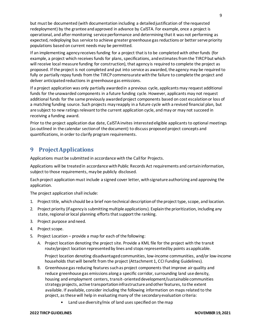but must be documented (with documentation including a detailed justification of the requested redeployment) by the grantee and approved in advance by CalSTA. For example, once a project is operational, and after monitoring service performance and determining that it was not performing as expected, redeploying bus service to achieve greater greenhouse gas reductions or better serve priority populations based on current needs may be permitted.

If an implementing agency receives funding for a project that is to be completed with other funds (for example, a project which receives funds for plans, specifications, and estimates from the TIRCP but which will receive local measure funding for construction), that agency is required to complete the project as proposed. If the project is not completed and put into service as awarded, the agency may be required to fully or partially repay funds from the TIRCP commensurate with the failure to complete the project and deliver anticipated reductions in greenhouse gas emissions.

If a project application was only partially awarded in a previous cycle, applicants may request additional funds for the unawarded components in a future funding cycle. However, applicants may not request additional funds for the same previously awarded project components based on cost escalationor loss of a matching funding source. Such projects may reapply in a future cycle with a revised financial plan, but are subject to new ratings relevant to the current application cycle, and may or may not succeed in receiving a funding award.

Prior to the project application due date, CalSTA invites interested eligible applicants to optional meetings (as outlined in the calendar section of the document) to discuss proposed project concepts and quantifications, in order to clarify program requirements.

## <span id="page-9-0"></span>**9 ProjectApplications**

Applications must be submitted in accordance with the Call for Projects.

Applications will be treated in accordance with Public Records Act requirements and certain information, subject to those requirements, may be publicly disclosed.

Each project application must include a signed cover letter, with signature authorizing and approving the application.

The project application shall include:

- 1. Project title, which should be a brief non-technical description of the project type, scope, and location.
- 2. Project priority (if agency is submitting multiple applications). Explain the prioritization, including any state, regional or local planning efforts that support the ranking.
- 3. Project purpose andneed.
- 4. Project scope.
- 5. Project Location provide a map for each of the following:
	- A. Project location denoting the project site. Provide a KML file for the project with the transit route/project location represented by lines and stops represented by points asapplicable.

Project location denoting disadvantaged communities, low-income communities, and/or low-income households that will benefit from the project (Attachment 1, CCI Funding Guidelines).

- B. Greenhouse gas reducing features such as project components that improve air quality and reduce greenhouse gas emissions along a specific corridor, surrounding land use density, housing and employment centers, transit- oriented development/sustainable communities strategy projects, active transportation infrastructure and other features, to the extent available. If available, consider including the following information on maps related to the project, as these will help in evaluating many of the secondary evaluation criteria:
	- Land use diversity/mix of land uses specified on themap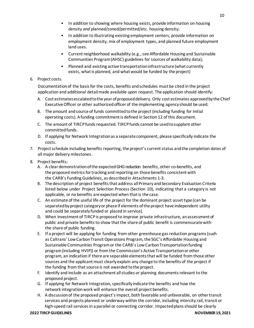- In addition to showing where housing exists, provide information on housing density *and* planned/zoned/permitted/etc. housing density;
- In addition to illustrating existing employment centers, provide information on employment density, mix of employment types, and planned future employment land uses.
- Current neighborhood walkability (e.g., see Affordable Housing and Sustainable Communities Program (AHSC) guidelines for sources of walkability data);
- Planned and existing active transportation infrastructure (what currently exists, what is planned, and what would be funded by the project)

#### 6. Project costs.

Documentation of the basis for the costs, benefits and schedules must be cited in the project application and additional detail made available upon request. The application should identify:

- A. Cost estimates escalated to the year of proposed delivery. Only cost estimates approved by the Chief ExecutiveOfficer or other authorizedofficer of the implementing agency should be used.
- B. The amount and source of funds committed to the project (including funding for initial operating costs). Afunding commitmentis defined in Section 12 of this document.
- C. The amount of TIRCP funds requested. TIRCP funds cannot be used to supplant other committed funds.
- D. If applying for Network Integration as a separate component, please specifically indicate the costs.
- 7. Project schedule including benefits reporting, the project's current status and the completion dates of all major delivery milestones.
- 8. Project benefits:
	- A. A clear demonstration of the expected GHG reduction benefits, other co-benefits, and the proposed metrics for tracking and reporting on those benefits consistent with the CARB's Funding Guidelines, as described in Attachments 1-3.
	- B. The description of project benefits that address all Primary and Secondary Evaluation Criteria listed below under Project Selection Process (Section 10), indicating that a category is not applicable, or no benefits are expected when that is the case.
	- C. An estimate of the useful life of the project for the dominant project asset type (can be separated by project category or phase if elements of the project have independent utility and could be separately funded or placed in service).
	- D. When investment of TIRCP is proposed to improve private infrastructure, an assessment of public and private benefits to show that the share of public benefit is commensurate with the share of public funding.
	- E. If a project will be applying for funding from other greenhouse gas reduction programs (such as Caltrans' Low Carbon Transit Operations Program, the SGC's Affordable Housing and Sustainable Communities Program or the CARB's Low Carbon Transportation funding program(including HVIP)) or from the Commission's Active Transportation or other program, an indication if there are separable elements that will be funded from those other sources and the applicant must clearly explain any change to the benefits of the project if the funding from that source is not awarded to the project.
	- F. Identify and include as an attachment all studies or planning documents relevant to the proposed project.
	- G. If applying for Network Integration, specifically indicate the benefits and how the network integration work will enhance the overall project benefits.
	- H. A discussion of the proposed project's impact, both favorable and unfavorable, on other transit services and projects planned or underway within the corridor, including intercity rail, transit or high-speed rail services in a parallel or connecting corridor. Impacted plans should be clearly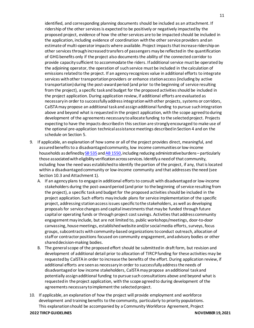identified, and corresponding planning documents should be included as an attachment. If ridership of the other services is expected to be positively or negatively impacted by the proposed project, evidence of how the other services are to be impacted should be included in the application, including evidence of coordination with the other service providers andan estimate of multi-operator impacts where available. Project impacts that increase ridership on other services through increased transfers of passengers may be reflected in the quantification of GHG benefits only if the project also documents the ability of the connected corridor to provide capacity sufficient to accommodate the riders. If additional service must be operated by the adjoining operator, the operation of such service must be included in the calculation of emissions related to the project. If an agency recognizes value in additional efforts to integrate services with other transportation providers or enhance station access (including by active transportation) during the post-award period (and prior to the beginning of service resulting from the project), a specific task and budget for the proposed activities should be included in the project application. During application review, if additional efforts are evaluated as necessary in order to successfully address integration with other projects, systems or corridors, CalSTA may propose an additional task and assign additional funding to pursue such integration above and beyond what is requested in the project application, with the scope agreed to during development of the agreements necessary to allocate funding to the selected project. Projects expecting to have the impacts described in this section are strongly encouraged to make use of the optional pre-application technical assistance meetings described in Section 4 and on the schedule on Section 5.

- 9. If applicable, an explanation of how some or all of the project provides direct, meaningful, and assured benefits to a disadvantaged community, low income communities or low-income households as defined b[y SB 535](https://leginfo.legislature.ca.gov/faces/billNavClient.xhtml?bill_id=201120120SB535) an[d AB 1550](https://leginfo.legislature.ca.gov/faces/billNavClient.xhtml?bill_id=201520160AB1550), including reducing administrative burdens – particularly those associated with eligibility verification across services. Identify a need of that community, including how the need was establishedto identify the portion of the project, if any, that is located within a disadvantaged community or low-income community and that addresses the need (see Section 10.3 and Attachment 1).
	- A. If an agency plans to engage in additional efforts to consult with disadvantaged or low-income stakeholders during the post-award period (and prior to the beginning of service resulting from the project), a specific task and budget for the proposed activities should be included in the project application. Such efforts may include plans for service implementation of the specific project, addressing station access issues specific to the stakeholders, as well as developing proposals for service changes and capital investments that may be funded through future capital or operating funds or through project cost savings. Activities that address community engagement may include, but are not limited to, public workshops/meetings, door-to-door canvassing, house meetings, established website and/or social media efforts, surveys, focus groups, subcontracts with community-based organizations to conduct outreach, allocation of staff or contractor positions focused on community engagement, and advisory bodies or other shared decision-making bodies.
	- B. The general scope of the proposed effort should be submitted in draft form, but revision and development of additional detail prior to allocation of TIRCP funding for these activities may be requested by CalSTA in order to increase the benefits of the effort. During application review, if additional efforts are seen as necessary in order to successfully address the needs of disadvantaged or low income stakeholders, CalSTA may propose an additional task and potentially assign additional funding to pursue such consultations above and beyond what is requested in the project application, with the scope agreed to during development of the agreements necessary to implement the selected project.
- 10. If applicable, an explanation of how the project will provide employment and workforce development and training benefits to the community, particularly to priority populations. This explanation should be accompanied by a Community Workforce Agreement, Project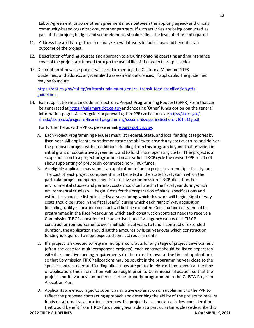Labor Agreement, or some other agreement made between the applying agency and unions, community-based organizations, or other partners. If such activities are being conducted as part of the project, budget and scope elements should reflect the level of effortanticipated.

- 11. Address the ability to gather and analyze new datasets for public use and benefit asan outcome of the project.
- 12. Descriptionoffunding sources andapproachto ensuring ongoing operating andmaintenance costs ofthe project are funded through the useful life of the project(as applicable).
- 13. Description of how the project will assist in meeting the California Minimum GTFS Guidelines, and address any identified assessment deficiencies, if applicable. The guidelines may be found at:

[https://dot.ca.gov/cal-itp/california-minimum-general-transit-feed-specification-gtfs](https://dot.ca.gov/cal-itp/california-minimum-general-transit-feed-specification-gtfs-guidelines)[guidelines.](https://dot.ca.gov/cal-itp/california-minimum-general-transit-feed-specification-gtfs-guidelines)

14. Eachapplicationmustinclude an Electronic Project Programming Request (ePPR) Form that can be generated a[t https://calsmart.dot.ca.gov](https://calsmart.dot.ca.gov/)and choosing 'Other' funds option on the general information page. A users guide for generating the ePPR can be found at[: https://dot.ca.gov/-](https://dot.ca.gov/-/media/dot-media/programs/financial-programming/documents/eppr-instructions-v101-a11y.pdf) [/media/dot-media/programs/financial-programming/documents/eppr-instructions-v101-a11y.pdf](https://dot.ca.gov/-/media/dot-media/programs/financial-programming/documents/eppr-instructions-v101-a11y.pdf)

For further helps with ePPRs, please email: [eppr@dot.ca.gov.](mailto:eppr@dot.ca.gov)

- A. Each Project Programming Request must list Federal, State, and local funding categories by fiscal year. All applicants must demonstrate the ability to absorb any cost overruns and deliver the proposed project with no additional funding from this program beyond that provided in initial grant or cooperative agreement, and to fund initial operating costs. If the project is a scope addition to a project programmed in an earlier TIRCP cycle the revised PPR must not show supplanting of previously committed non-TIRCP funds.
- B. An eligible applicant may submit an application to fund a project over multiple fiscal years. The cost of each project component must be listed in the state fiscal year in which the particular project component needs to receive a Commission TIRCP allocation. For environmental studies and permits, costs should be listed in the fiscal year duringwhich environmental studies will begin. Costs for the preparation of plans, specifications and estimates should be listed in the fiscal year during which this work will begin. Right of way costs should be listed in the fiscal year(s) during which each right of way acquisition (including utility relocation) contract will first be executed. Construction costs should be programmed in the fiscal year during which each construction contract needs to receive a Commission TIRCP allocation to be advertised, and if an agency can receive TIRCP construction reimbursements over multiple fiscal years to fund a contract of extended duration, the application should list the amounts by fiscal year over which construction funding is required to meet expected contract requirements.
- C. If a project is expected to require multiple contracts for any stage of project development (often the case for multi-component projects), each contract should be listed separately with its respective funding requirements (to the extent known at the time of application), so that Commission TIRCP allocations may be sought in the programming year close to the specific contract need and funding allocations are put to timelyuse. If not known at the time of application, this information will be sought prior to Commission allocation so that the project and its various components can be properly programmed in the CalSTA Program Allocation Plan.
- D. Applicants are encouraged to submit a narrative explanation or supplement to the PPR to reflect the proposed contracting approach and describing the ability of the project to receive funds on alternative allocation schedules. If a project has a special cash flow consideration that would benefit from TIRCP funds being available at a particular time, please describe this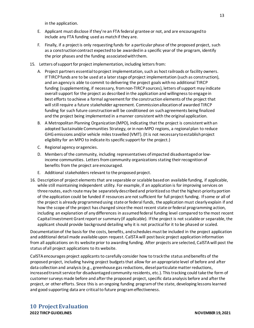in the application.

- E. Applicant must disclose if they're an FTA federal grantee or not, and are encouraged to include any FTA funding used as match if they are.
- F. Finally, if a project is only requesting funds for a particular phase of the proposed project, such as a construction contract expected to be awarded in a specific year of the program, identify the prior phases and the funding associated with them.
- 15. Letters of support for project implementation, including letters from:
	- A. Project partners essential to project implementation, such as host railroads or facility owners. If TIRCP funds are to be used at a later stage of project implementation (such as construction), and an agency is able to commit to delivering the project goals with no additional TIRCP funding (supplementing, if necessary, from non-TIRCP sources), letters of support may indicate overall support for the project as described in the application and willingness to engage in best efforts to achieve a formal agreement for the construction elements of the project that will still require a future stakeholder agreement. Commission allocation of awarded TIRCP funding for such future construction will be conditioned on such agreements being finalized and the project being implemented in a manner consistent with the original application.
	- B. A Metropolitan Planning Organization (MPO), indicating that the project is consistent with an adopted Sustainable Communities Strategy, or in non-MPO regions, a regional plan to reduce GHGemissions and/or vehicle miles travelled (VMT). (Itis not necessary to establish project eligibility for an MPO to indicate its specific support for the project.)
	- C. Regional agency oragencies.
	- D. Members of the community, including representatives of impacted disadvantaged or lowincome communities. Letters from community organizations stating their recognition of benefits from the project are encouraged.
	- E. Additional stakeholders relevant to the proposed project.
- 16. Description of project elements that are separable or scalable based on available funding, if applicable, while still maintaining independent utility. For example, if an application is for improving services on three routes, each route may be separately described and prioritized so that the highest-priority portion of the application could be funded if resources are not sufficient for full project funding. If some or all of the project is already programmed using state or federal funds, the application must clearly explain if and how the scope of the project has changed since the most recent state or federal programming action, including an explanation of anydifferences in assumed federal funding level compared to the most recent Capital Investment Grant report or summary (if applicable). If the project is not scalable or separable, the applicant should provide background detailing why it is not practical for it to be phased or scaled.

Documentation of the basis for the costs, benefits, and schedules must be included in the project application and additional detail made available upon request. CalSTA will post basic project application information from all applications on its website prior to awarding funding. After projects are selected, CalSTA will post the status of all project applications to its website.

<span id="page-13-0"></span>CalSTA encourages project applicants to carefully consider how to track the status and benefits of the proposed project, including having project budgets that allow for an appropriate level of before and after data collection and analysis (e.g., greenhouse gas reductions, diesel particulate matter reductions, increased transit service for disadvantaged community residents, etc.). This tracking could take the form of customer surveys made before and after the proposed project, specific data analysis before and after the project, or other efforts. Since this is an ongoing funding program of the state, developing lessons learned and good supporting data are critical to future program effectiveness.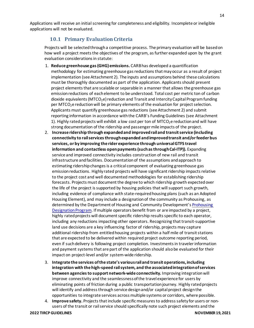<span id="page-14-0"></span>Applications will receive an initial screening for completeness and eligibility. Incomplete or ineligible applications will not be evaluated.

### **10.1 Primary EvaluationCriteria**

Projects will be selected through a competitive process. The primary evaluation will be based on how well a project meets the objectives of the program, as further expanded upon by the grant evaluation considerations in statute:

- 1. **Reduce greenhouse gas (GHG) emissions.** CARB has developed a quantification methodology for estimating greenhouse gas reductions that may occur as a result of project implementation (see Attachment 2). The inputs and assumptions behind these calculations must be thoroughly documented as part of the application. Applicants should present project elements that are scalable or separable in a manner that allows the greenhouse gas emission reductions of each element to be understood. Total cost per metric ton of carbon dioxide equivalents (MTCO<sub>2</sub>e) reduction and Transit and Intercity Capital Program funding per MTCO<sub>2</sub>e reduction will be primary elements of the evaluation for project selection. Applicants must quantify greenhouse gas reductions (see Attachment 2) and submit reporting information in accordance with the CARB's Funding Guidelines (see Attachment 1). Highly rated projects will exhibit a low cost per ton of  $MTCO<sub>2</sub>e$  reduction and will have strong documentation of the ridership and passenger mile impacts of the project.
- 2. **Increase ridership through expanded and improved rail and transit service (including connectivity to rail services through expanded and improved transit and/or feeder bus services, or by improving the rider experience through universal GTFS travel information and contactless open payments (such as through Cal-ITP)).** Expanding service and improved connectivity includes construction of new rail and transit infrastructure and facilities. Documentation of the assumptions and approach to estimating ridership changes is a critical component of evaluating greenhouse gas emission reductions. Highly rated projects will have significant ridership impacts relative to the project cost and well documented methodologies for establishing ridership forecasts. Projects must document the degree to which ridership growth expected over the life of the project is supported by housing policies that will support such growth, including evidence of compliance with state-required housing plans (such as an Adopted Housing Element), and may include a designation of the community as Prohousing, as determined by the Department of Housing and Community Development'[s Prohousing](https://www.hcd.ca.gov/community-development/prohousing/index.shtml)  [Designation Program.](https://www.hcd.ca.gov/community-development/prohousing/index.shtml) If multiple operators benefit from or are impacted by a project, highly rated projects will document specific ridership results specific to each operator, including any reductions impacting other operators. Recognizing that transit-supportive land use decisions are a key influencing factor of ridership, projects may capture additional ridership from entitled housing projects within a half mile of transit stations that are expected to be delivered within required project outcome reporting period, even if such delivery is following project completion. Investments in traveler information and payment systems that are part of the application should also be evaluated for their impact on project-level and/or system-wide ridership.
- 3. **Integrate the services of the state's various rail and transit operations, including integration with the high-speed rail system, and the associated integration of services between agencies to support network-wide connectivity.** Improving integration will improve connectivity and the seamlessness of the travel experience for users by eliminating points of friction during a public transportation journey. Highly rated projects will identify and address through service design and/or capital project design the opportunities to integrate services across multiple systems or corridors, where possible.
- 4. **Improve safety.** Projects that include specific measures to address safety for users or nonusers of the transit or rail service should specifically note such project elements and the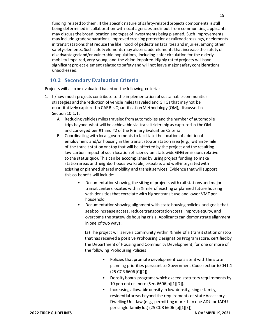funding related to them. If the specific nature of safety-related projects components is still being determined in collaboration with local agencies and input from communities, applicants may discuss the broad location and types of investments being planned. Such improvements may include grade separations, improved crossing protection at railroad crossings, or elements in transit stations that reduce the likelihood of pedestrian fatalities and injuries, among other safety elements. Such safety elements may also include elements that increase the safety of disadvantaged and/or vulnerable populations, including safer circulation for the elderly, mobility impaired, very young, and the vision impaired. Highly rated projects will have significant project element related to safety and will not leave major safety considerations unaddressed.

### **10.2 Secondary Evaluation Criteria**

<span id="page-15-0"></span>Projects will also be evaluated based on the following criteria:

- 1. If/how much projects contribute to the implementation of sustainable communities strategies and the reduction of vehicle miles traveled and GHGs that may not be quantitatively captured in CARB's Quantification Methodology (QM), discussed in Section 10.1.1.
	- A. Reducing vehicles miles traveled from automobiles and the number of automobile trips beyond what will be achievable via transitridershipas captured in the QM and conveyed per #1 and #2 of the Primary Evaluation Criteria.
	- B. Coordinating with local governments to facilitate the location of additional employment and/or housing in the transit stop or station area (e.g., within ½-mile of the transit station or stop that will be affected by the project and the resulting low-carbon impact of such location efficiency on statewide GHG emissions relative to the status quo). This can be accomplished by using project funding to make station areas and neighborhoods walkable, bikeable, and well-integrated with existing or planned shared mobility and transit services. Evidence that will support this co-benefit will include:
		- Documentation showing the siting of projects with rail stations and major transit centers located within ½ mile of existing or planned future housing with densities that correlate with higher transit use and lower VMT per household.
		- Documentation showing alignment with state housing policies and goals that seek to increase access, reduce transportation costs, improve equity, and overcome the statewide housing crisis. Applicants can demonstrate alignment in one of two ways:

(a) The project will serve a community within ½ mile of a transit station or stop that has received a positive Prohousing Designation Program score, certified by the Department of Housing and Community Development, for one or more of the following Prohousing Policies:

- Policies that promote development consistent with the state planning priorities pursuant to Government Code section 65041.1 (25 CCR 6606 [C][2]).
- Density bonus programs which exceed statutory requirements by 10 percent or more (Sec. 6606[b][1][D]).
- Increasing allowable density in low-density, single-family, residential areas beyond the requirements of state Accessory Dwelling Unit law (e.g., permitting more than one ADU or JADU per single-family lot) (25 CCR 6606 [b][1][E]).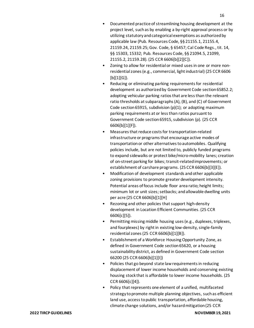- Documented practice of streamlining housing development at the project level, such as by enabling a by-right approval process or by utilizing statutory and categorical exemptions as authorized by applicable law (Pub. Resources Code, §§ 21155.1, 21155.4, 21159.24, 21159.25; Gov. Code, § 65457; Cal Code Regs., tit. 14, §§ 15303, 15332; Pub. Resources Code, §§ 21094.5, 21099, 21155.2, 21159.28). (25 CCR 6606[b][2][C]).
- Zoning to allow for residential or mixed uses in one or more nonresidential zones (e.g., commercial, light industrial) (25 CCR 6606  $[b][1][G]$ .
- Reducing or eliminating parking requirements for residential development as authorized by Government Code section 65852.2; adopting vehicular parking ratios that are less than the relevant ratio thresholds at subparagraphs (A), (B), and (C) of Government Code section 65915, subdivision (p)(1); or adopting maximum parking requirements at or less than ratios pursuant to Government Code section 65915, subdivision (p). (25 CCR 6606[b][1][F]).
- Measures that reduce costs for transportation-related infrastructure or programs that encourage active modes of transportation or other alternatives to automobiles. Qualifying policies include, but are not limited to, publicly funded programs to expand sidewalks or protect bike/micro-mobility lanes; creation of on-street parking for bikes; transit-related improvements; or establishment of carshare programs. (25 CCR 6606[b][3][E]).
- Modification of development standards and other applicable zoning provisions to promote greater development intensity. Potential areas of focus include floor area ratio; height limits; minimum lot or unit sizes; setbacks; and allowable dwelling units per acre (25 CCR 6606[b][1][H]
- Rezoning and other policies that support high-density development in Location Efficient Communities. (25 CCR 6606[c][5]).
- Permitting missing middle housing uses (e.g., duplexes, triplexes, and fourplexes) by right in existing low-density, single-family residential zones (25 CCR 6606[b][1][B]).
- Establishment of a Workforce Housing Opportunity Zone, as defined in Government Code section 65620, or a housing sustainability district, as defined in Government Code section 66200 (25 CCR 6606[b][1][I])
- Policies that go beyond state law requirements in reducing displacement of lower income households and conserving existing housing stock that is affordable to lower income households. (25 CCR 6606[c][4]).
- Policy that represents one element of a unified, multifaceted strategy to promote multiple planning objectives, such as efficient land use, access to public transportation, affordable housing, climate change solutions, and/or hazard mitigation (25 CCR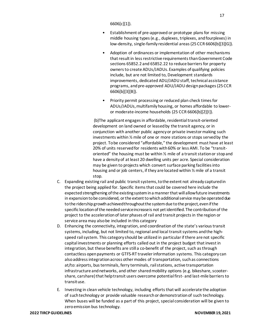6606[c][1]).

- Establishment of pre-approved or prototype plans for missing middle housing types (e.g., duplexes, triplexes, and fourplexes) in low-density, single-family residential areas (25 CCR 6606[b][3][G]).
- Adoption of ordinances or implementation of other mechanisms that result in less restrictive requirements than Government Code sections 65852.2 and 65852.22 to reduce barriers for property owners to create ADUs/JADUs. Examples of qualifying policies include, but are not limited to, Development standards improvements, dedicated ADU/JADU staff, technical assistance programs, and pre-approved ADU/JADU design packages (25 CCR 6606[b][3][B]).
- Priority permit processing or reduced plan check times for ADUs/JADUs, multifamily housing, or homes affordable to loweror moderate-income households (25 CCR 6606[b][2][I]).

(b)The applicant engages in affordable, residential transit-oriented development on land owned or leased by the transit agency, or in conjunction with another public agency or private investor making such investments within ½ mile of one or more stations or stops served by the project. Tobe considered "affordable," the development must have at least 20% of units reserved for residents with 60% or less AMI. To be "transitoriented" the housing must be within  $\frac{1}{2}$  mile of a transit station or stop and have a density of at least 20 dwelling units per acre. Special consideration may be given to projects which convert surface parking facilities into housing and or job centers, if they are located within ½ mile of a transit stop.

- C. Expanding existing rail and public transit systems, to the extent not already captured in the project being applied for. Specific items that could be covered here include the expected strengthening of the existing system in a manner that will allow future investments in expansion to be considered, or the extent to which additional service may be operated due to the ridership growth achieved throughout the system due to the project, even if the specific location of the needed service increase is not yet identified. The contribution of the project to the acceleration of later phases of rail and transit projects in the region or service area may also be included in this category
- D. Enhancing the connectivity, integration, and coordination of the state's various transit systems, including, but not limited to, regional and local transit systems and the highspeed rail system. This category should be utilized in particular if there are not specific capital investments or planning efforts called out in the project budget that invest in integration, but these benefits are still a co-benefit of the project, such as through contactless open payments or GTFS-RT traveler information systems. This category can also address integration across other modes of transportation, such as connections at/to: airports, bus terminals, ferry terminals, rail stations, active transportation infrastructure and networks, and other shared mobility options (e.g. bikeshare, scootershare, carshare) that help transit users overcome potential first- and last-mile barriers to transituse.
- E. Investing in clean vehicle technology, including efforts that will accelerate the adoption of such technology or provide valuable research or demonstration of such technology. When buses will be funded as a part of this project, special consideration will be given to zero emission bus technology.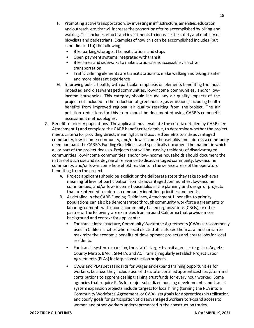- F. Promoting active transportation, by investing in infrastructure, amenities, education and outreach, etc. that will increase the proportion of trips accomplished by biking and walking. This includes efforts and investments to increase the safety and mobility of bicyclists and pedestrians. Examples of how this can be accomplished includes (but is not limited to) the following:
	- Bike parking/storage at transit stations andstops
	- Open payment systems integrated with transit
	- Bike lanes and sidewalks to make station areas accessible via active transportation
	- Traffic calming elements are transit stations to make walking and biking a safer and more pleasant experience
- G. Improving public health, with particular emphasis on elements benefiting the most impacted and disadvantaged communities, low-income communities, and/or lowincome households. This category should include any air quality impacts of the project not included in the reduction of greenhouse gas emissions, including health benefits from improved regional air quality resulting from the project. The air pollution reductions for this item should be documented using CARB's co-benefit assessment methodologies.
- 2. Benefit to priority populations. The applicant must evaluate the criteria detailed by CARB (see Attachment 1) and complete the CARB benefit criteria table, to determine whether the project meets criteria for providing direct, meaningful, and assured benefits to a disadvantaged community, low-income community, and/or low- income households and address a community need pursuant the CARB's Funding Guidelines, and specifically document the manner in which all or part of the project does so. Projects that will be used by residents of disadvantaged communities, low-income communities, and/orlow-income households should document the nature of such use and its degree of relevance to disadvantaged community, low-income community, and/or low-income household residents in the service areas of the operators benefiting from the project.
	- A. Project applicants should be explicit on the deliberate steps they take to achievea meaningful level of participation from disadvantaged communities, low-income communities, and/or low- income households in the planning and design of projects that are intended to address community identified priorities and needs.
	- B. As detailed in the CARB Funding Guidelines, Attachment 1, benefits to priority populations can also be demonstrated through community workforce agreements or labor agreements with unions, community-based organizations (CBOs), or other partners. The following are examples from around California that provide more background and context for applicants:
		- For transit infrastructure, Community Workforce Agreements (CWAs) are commonly used in California cities where local elected officials see them as a mechanism to maximize the economic benefits of development projects and create jobs for local residents.
		- For transit system expansion, the state's larger transit agencies (e.g., Los Angeles County Metro, BART, SFMTA, and AC Transit) regularly establish Project Labor Agreements (PLAs) for large construction projects.
		- CWAs and PLAs set standards for wages and expand training opportunities for workers, because they include use of the state-certified apprenticeship system and contributions to apprenticeship training trust funds for every hour worked. Some agencies that require PLAs for major subsidized housing developments and transit system expansion projects include targets for local hiring (turning the PLA into a Community Workforce Agreement, or CWA), set goals for apprenticeship utilization, and codify goals for participation of disadvantaged workers to expand access to women and other workers underrepresented in the constructiontrades.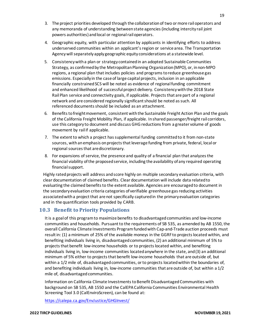- 3. The project priorities developed through the collaborationof two ormore railoperators and any memoranda of understanding between state agencies (including intercity rail joint powers authorities) andlocal or regionalrailoperators.
- 4. Geographic equity, with particular attention by applicants in identifying efforts to address underserved communities within an applicant's region or service area. The Transportation Agencywill separatelyapply geographic equity considerations at a statewide level.
- 5. Consistency with a plan or strategy contained in an adopted Sustainable Communities Strategy, as confirmed by the Metropolitan Planning Organization (MPO), or, in non-MPO regions, a regional plan that includes policies and programs to reduce greenhouse gas emissions. Especially in the case of large capital projects, inclusion in an applicable financially constrained SCS will be noted as evidence of regional funding commitment and enhanced likelihood of successful project delivery. Consistency with the 2018 State Rail Plan service and connectivity goals, if applicable. Projects that are part of a regional network and are considered regionally significant should be noted as such. All referenced documents should be included as an attachment.
- 6. Benefits to freight movement, consistent with the Sustainable Freight Action Plan and the goals of the California Freight Mobility Plan, if applicable. In shared passenger/freight rail corridors, use this category to document and discuss GHG reductions from a greater volume of goods movement by rail if applicable.
- 7. The extent to which a project has supplemental funding committed to it from non-state sources, with an emphasis on projects that leverage funding from private, federal, local or regional sources that arediscretionary.
- 8. For expansions of service, the presence and quality of a financial plan that analyzes the financial viability ofthe proposedservice, including the availability of any required operating financialsupport.

Highly rated projects will address and score highly on multiple secondary evaluation criteria, with clear documentation of claimed benefits. Clear documentation will include data related to evaluating the claimed benefits to the extent available. Agencies are encouraged to document in the secondary evaluation criteria categories of verifiable greenhouse gas reducing activities associated witha project that are not specifically captured in the primary evaluation categories and in the quantification tools provided by CARB.

#### <span id="page-19-0"></span>**10.3 Benefit to Priority Populations**

It is a goal of this program to maximize benefits to disadvantaged communities and low-income communities and households. Pursuant to the requirements of SB 535, as amended by AB 1550, the overall California Climate Investments Program funded with Cap-and-Trade auction proceeds must result in: (1) a minimum of 25% of the available moneys in the GGRF to projects located within, and benefiting individuals living in, disadvantaged communities, (2) an additional minimum of 5% to projects that benefit low-income households or to projects located within, and benefiting individuals living in, low-income communities located anywhere in the state, and (3) an additional minimum of 5% either to projects that benefit low-income households that are outside of, but within a 1/2 mile of, disadvantaged communities, or to projects located within the boundaries of, and benefiting individuals living in, low-income communities that are outside of, but within a 1/2 mile of, disadvantaged communities.

Information on California Climate Investments to Benefit Disadvantaged Communities with background on SB 535, AB 1550 and the CalEPA California Communities Environmental Health Screening Tool 3.0 (CalEnviroScreen), can be found at:

<https://calepa.ca.gov/EnvJustice/GHGInvest/>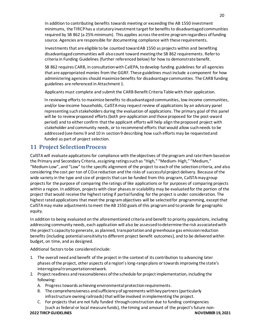In addition to contributing benefits towards meeting or exceeding the AB 1550 investment minimums, the TIRCP has a statutory investment target for benefits to disadvantaged communities required by SB 862 (a 25% minimum). This applies across the entire program regardless of funding source. Agencies are responsible for documenting compliance with these requirements.

Investments that are eligible to be counted toward AB 1550 as projects within and benefiting disadvantaged communities will also count toward meeting the SB 862 requirements. Refer to criteria in Funding Guidelines (further referenced below) for how to demonstrate benefit.

SB 862 requires CARB, in consultation with CalEPA, to develop funding guidelines for all agencies that are appropriated monies from the GGRF. These guidelines must include a component for how administering agencies should maximize benefits for disadvantage communities. The CARB funding guidelines are referenced in Attachment 1.

Applicants must complete and submit the CARB Benefit Criteria Table with their application.

In reviewing efforts to maximize benefits to disadvantaged communities, low-income communities, and/or low-income households, CalSTA may request review of applications by an advisory panel representing such stakeholders during the evaluation of applications. The primary goal of this panel will be to review proposed efforts (both pre-application and those proposed for the post-award period) and to either confirm that the applicant efforts will help align the proposed project with stakeholder and community needs, or to recommend efforts that would allow such needs to be addressed (see items 9 and 10 in section 9 describing how such efforts may be requested and funded as part of project selection.

## <span id="page-20-0"></span>**11 Project SelectionProcess**

CalSTA will evaluate applications for compliance with the objectives of the program and rate them based on the Primary and Secondary Criteria, assigning ratings such as "High," "Medium- High," "Medium," "Medium-Low", and "Low" to the specific alignment of the project to each of the selectioncriteria, and also considering the cost per ton of CO2e reduction and the risks of successful project delivery. Because of the wide variety in the type and size of projects that can be funded from this program, CalSTA may group projects for the purpose of comparing the ratings of like applications or for purposes of comparing projects within a region. In addition, projects with clear phases or scalability may be evaluated for the portion of the project that would receive the highest rating if partial funding for the project is under consideration. The highest rated applications that meet the program objectives will be selected for programming, except that CalSTA may make adjustments to meet the AB 1550 goals of this program and to provide for geographic equity.

In addition to being evaluated on the aforementioned criteria and benefit to priority populations, including addressing community needs, each application will also be assessed to determine the risk associated with the project's capacity to generate, as planned, transportation and greenhouse gas emission reduction benefits (including potential sensitivity to different project benefit outcomes), and to be delivered within budget, on time, and as designed.

Additional factors to be considered include:

- 1. The overall need and benefit of the project in the context of its contribution to advancing later phases ofthe project, other aspects of a region'slong-range plans ortowardsimproving the state's interregional transportationnetwork.
- 2. Project readiness and reasonableness of the schedule for project implementation, including the following:
	- A. Progress towards achieving environmental protection requirements.
	- B. The comprehensiveness andsufficiencyof agreements withkeypartners(particularly infrastructure owning railroads) that will be involved in implementing the project.
	- C. For projects that are not fully funded through construction due to funding contingencies (such as federal or local measure funds), the timing and amount of the project's future non-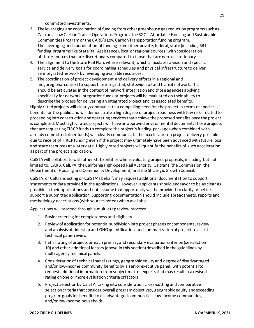committed investments.

- 3. The leveraging and coordination of funding from other greenhouse gas reduction programs such as Caltrans' Low Carbon Transit Operations Program, the SGC's Affordable Housing and Sustainable Communities Program or the CARB's Low Carbon Transportation funding program. The leveraging and coordination of funding from other private, federal, state (including SB1 funding programs like State Rail Assistance), local or regional sources, with consideration of those sources that are discretionary compared to those that are non- discretionary.
- 4. The alignment to the State Rail Plan, where relevant, which articulates a vision and specific service and delivery goals for coordinating schedules and physical infrastructure to deliver an integrated network by leveraging available resources.
- 5. The coordination of project development and delivery efforts in a regional and megaregional context to support an integrated, statewide rail and transit network. This should be articulated in the context of network integration and those agencies applying specifically for network integration funds or projects will be evaluated on their ability to describe the process for delivering an integrated project and its associatedbenefits.

Highly rated projects will clearly communicate a compelling need for the project in terms of specific benefits for the public and will demonstrate a high degree of project readiness with few risks related to proceeding into construction and operating services that achieve the proposed benefits once the project is completed. Most highly rated projects will have an approved environmental document. Those projects that are requesting TIRCP funds to complete the project's funding package (when combined with already committed other funds) will clearly communicate the acceleration in project delivery possible due to receipt of TIRCP funding even if the project may ultimately have been advanced with future local and state resources at a later date. Highly rated projects will quantify the benefits of such acceleration as part of the project application.

CalSTA will collaborate with other state entities when evaluating project proposals, including but not limited to: CARB, CalEPA, the California High-Speed Rail Authority, Caltrans, the Commission, the Department of Housing and Community Development, and the Strategic Growth Council.

CalSTA, or Caltrans acting on CalSTA's behalf, may request additional documentation to support statements or data provided in the applications. However, applicants should endeavor to be as clear as possible in their applications and not assume that opportunity will be provided to clarify or better support a submitted application. Supporting documentation should include spreadsheets, reports and methodology descriptions (with sources noted) when available.

Applications will proceed through a multi-step review process:

- 1. Basic screening for completeness andeligibility.
- 2. Reviewof applicationfor potentialsubdivision into project phases or components, review and analysis of ridership and GHG quantification, and summarization of project to assist technical panel review.
- 3. Initial rating of projects on each primary and secondary evaluation criterion (see section 10) and other additional factors (above in this section) described in the guidelines by multi-agency technical panels.
- 4. Consideration of technical panel ratings, geographic equity and degree of disadvantaged and/or low-income community benefits by a senior executive panel, with potential to request additional information from subject matter experts that may result in a revised rating on one or more evaluation criteria or factors.
- 5. Project selection by CalSTA, taking into consideration cross-cutting and comparative selection criteria that consider overall program objectives, geographic equity andexceeding program goals for benefits to disadvantaged communities, low-income communities, and/or low-income households.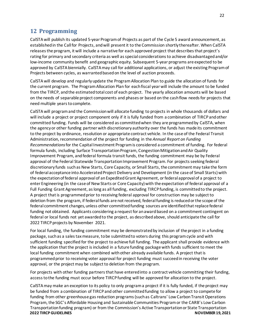## <span id="page-22-0"></span>**12 Programming**

CalSTA will publish its updated 5-year Program of Projects as part of the Cycle 5 award announcement, as established in the Call for Projects, and will present it to the Commission shortly thereafter. When CalSTA releases the program, it will include a narrative for each approved project that describes that project's rating for primary and secondary criteria as well as special considerations to achieve disadvantaged and/or low-income community benefit and geographic equity. Subsequent 5-year programs are expected to be approved by CalSTA biennially. CalSTA may call for additional applications, or adjust the existing Program of Projects between cycles, as warranted based on the level of auction proceeds.

CalSTA will develop and regularly update the Program Allocation Plan to guide the allocation of funds for the current program. The Program Allocation Plan for each fiscal year will include the amount to be funded from the TIRCP, and the estimated total cost of each project. The yearly allocation amounts will be based on the needs of separable project components and phases or based on the cash flow needs for projects that need multiple years tocomplete.

CalSTA will program and the Commission will allocate funding to projects in whole thousands of dollars and will include a project or project component only if it is fully funded from a combination of TIRCP and other committed funding. Funds will be considered as committed when they are programmed by CalSTA, when the agency or other funding partner with discretionary authority over the funds has made its commitment to the project by ordinance, resolution or appropriate contract vehicle. In the case of the Federal Transit Administration, recommendation of the project for funding in the *Annual Report on Funding Recommendations* for the Capital Investment Programis considered a commitment of funding. For federal formula funds, including Surface Transportation Program, Congestion Mitigation and Air Quality Improvement Program, and federal formula transit funds, the funding commitment may be by Federal approval of the Federal Statewide Transportation Improvement Program. For projects seeking federal discretionary funds such as New Starts, Core Capacity, or Small Starts, the commitment may take the form of federal acceptance into Accelerated Project Delivery and Development (in the case of Small Starts)with the expectationoffederal approvalof anExpeditedGrant Agreement, orfederal approvalof a project to enter Engineering (in the case of New Starts or Core Capacity) with the expectation of federal approval of a Full Funding Grant Agreement, as long as all funding, excluding TIRCP funding, is committed to the project. A project that is programmed prior to receiving federal approval for construction may be subject to deletion from the program, if federal funds are not received, federal funding is reduced or the scope of the federal commitment changes, unless other committed funding sources are identified that replace federal funding not obtained. Applicants considering a request for an award based on a commitment contingent on federal or local funds not yet awarded to the project, as described above, should anticipate the call for 2022 TIRCP projects by November 2021.

For local funding, the funding commitment may be demonstrated by inclusion of the project in a funding package, such as a sales tax measure, to be submitted to voters during this program cycle and with sufficient funding specified for the project to achieve full funding. The applicant shall provide evidence with the application that the project is included in a future funding package with funds sufficient to meet the local funding commitment when combined with other already available funds. A project that is programmed prior to receiving voter approval for project funding must succeed in receiving the voter approval, or the project may be subject to deletion from the program.

For projects with other funding partners that have entered into a contract vehicle committing their funding, access to the funding must occur before TIRCP funding will be approved for allocation to the project.

**2022 TIRCP GUIDELINES NOVEMBER 19, 2021** CalSTA may make an exception to its policy to only program a project if it is fully funded, if the project may be funded from a combination of TIRCP and other committed funding to allow a project to compete for funding from other greenhouse gas reduction programs (such as Caltrans' Low Carbon Transit Operations Program, the SGC's Affordable Housing and Sustainable Communities Program or the CARB's Low Carbon Transportation funding program) or from the Commission's Active Transportation or State Transportation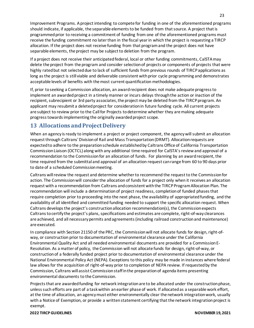Improvement Programs. A project intending to compete for funding in one of the aforementioned programs should indicate, if applicable, the separable elements to be funded from that source. A project that is programmed prior to receiving a commitment of funding from one of the aforementioned programs must receive the funding commitment no later than in the fiscal year in which the project is requesting a TIRCP allocation. If the project does not receive funding from that program and the project does not have separable elements, the project may be subject to deletion from the program.

If a project does not receive their anticipated federal, local or other funding commitments, CalSTA may delete the project from the program and consider selection of projects or components of projects that were highly rated but not selected due to lack of sufficient funds from previous rounds of TIRCP applications as long as the project is still viable and deliverable consistent with prior cycle programming and demonstrates acceptable levels of benefits with the most current quantification methodologies.

If, prior to seeking a Commission allocation, an award recipient does not make adequate progress to implement an awarded project in a timely manner or incurs delays through the action or inaction of the recipient, subrecipient or 3rd party associates, the project may be deleted from the TIRCP program. An applicant may resubmit a deleted project for consideration in future funding cycle. All current projects are subject to review prior to the Call for Projects to determine whether they are making adequate progress towards implementing the originally awarded project scope.

## <span id="page-23-0"></span>**13 Allocations and ProjectDelivery**

When an agency is ready to implement a project or project component, the agency will submit an allocation request through Caltrans' Division of Rail and Mass Transportation (DRMT). Allocation requests are expected to adhere to the preparation schedule established by Caltrans Office of California Transportation Commission Liaison (OCTCL) along with any additional time required for CalSTA's review and approval of a recommendation to the Commission for an allocation of funds. For planning by an award recipient, the time required from the submittal and approval of an allocation request can range from 60 to 90 days prior to date of a scheduled Commissionmeeting.

Caltrans will review the request and determine whether to recommend the request to the Commission for action. The Commission will consider the allocation of funds for a project only when it receives an allocation request with a recommendation from Caltrans and consistent with the TIRCP Program Allocation Plan. The recommendation will include a determination of project readiness, completion of funded phases that require completion prior to proceeding into the next phase, the availability of appropriated funding, and the availability of all identified and committed funding needed to support the specific allocation request. When Caltrans develops the project's construction allocation recommendation(s), the Commission expects Caltrans to certify the project's plans, specifications and estimates are complete, right-of-way clearances are achieved, and all necessary permits and agreements (including railroad construction and maintenance) are executed.

In compliance with Section 21150 of the PRC, the Commission will not allocate funds for design, right-ofway, or construction prior to documentation of environmental clearance under the California Environmental Quality Act and all needed environmental documents are provided for a Commission E-Resolution. As a matter of policy, the Commission will not allocate funds for design, right-of-way, or construction of a federally funded project prior to documentation of environmental clearance under the National Environmental Policy Act (NEPA). Exceptions to this policy may be made in instances where federal law allows for the acquisition of right-of-way prior to completion of NEPA review. If requested by the Commission, Caltrans will assist Commission staff in the preparation of agenda items presenting environmental documents to the Commission.

Projects that are awarded funding for network integration are to be allocated under the construction phase, unless such efforts are part of a task within an earlier phase of work. If allocated as a separable work effort, at the time of allocation, an agency must either environmentally clear the network integration work, usually with a Notice of Exemption, or provide a written statement certifying that the network integration project is exempt.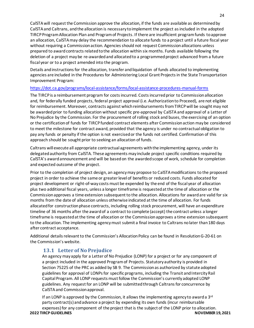CalSTA will request the Commission approve the allocation, if the funds are available as determined by CalSTA and Caltrans, and the allocation is necessary to implement the project as included in the adopted TIRCP Program Allocation Plan and Program of Projects. If there are insufficient program funds to approve an allocation, CalSTA may delay the recommendation to allocate funds to a project until a future fiscal year without requiring a Commission action. Agencies should not request Commission allocations unless prepared to award contracts related to the allocation within six months. Funds available following the deletion of a project may be re-awarded and allocated to a programmed project advanced from a future fiscal year or to a project amended into the program.

Details and instructions for the allocation, transfer and liquidation of funds allocated to implementing agencies are included in the Procedures for Administering Local Grant Projects in the State Transportation Improvement Program:

#### <https://dot.ca.gov/programs/local-assistance/forms/local-assistance-procedures-manual-forms>

The TIRCP is a reimbursement program for costs incurred. Costs incurred prior to Commission allocation and, for federally funded projects, federal project approval (i.e. Authorization to Proceed), are not eligible for reimbursement. Moreover, contracts against which reimbursements from TIRCP will be sought may not be awarded prior to funding allocation without specific pre-approval by CalSTA and approval of a Letter of No Prejudice by the Commission. For the procurement of rolling stock and buses, the exercising of an option or the certification of funds for TIRCP funded contract elements after Commission action may be considered to meet the milestone for contract award, provided that the agency is under no contractual obligation to pay any funds or penalty if the option is not exercised or the funds not certified. Confirmation of this approach should be sought prior to seeking an allocation of funds.

Caltrans will execute all appropriate contractual agreements with the implementing agency, under its delegated authority from CalSTA. These agreements may include project specific conditions required by CalSTA's award announcement and will be based on the awarded scope of work, schedule for completion and expected outcome of the project.

Prior to the completion of project design, an agency may propose to CalSTA modifications to the proposed project in order to achieve the same or greater level of benefits or reduced costs. Funds allocated for project development or right-of-way costs must be expended by the end of the fiscal year of allocation plus two additional fiscal years, unless a longer timeframe is requested at the time of allocation or the Commission approves a time extension subsequent to the allocation. Allocations for award are valid for six months from the date of allocation unless otherwise indicated at the time of allocation. For funds allocated for construction phase contracts, including rolling stock procurement, will have an expenditure timeline of 36 months after the award of a contract to complete (accept) the contract unless a longer timeframe is requested at the time of allocation or the Commission approves a time extension subsequent to the allocation. The implementing agency must submit a final invoice to Caltrans no later than 180 days after contract acceptance.

<span id="page-24-0"></span>Additional details relevant to the Commission's Allocation Policy can be found in Resolution G-20-61 on the Commission's website.

## **13.1 Letter of No Prejudice**

An agency may apply for a Letter of No Prejudice (LONP) for a project or for any component of a project included in the approved Program of Projects. Statutory authority is provided in Section 75225 of the PRC as added by SB 9. The Commission as authorized by statute adopted guidelines for approval of LONPs for specific programs, including the Transit and Intercity Rail Capital Program. All LONP requests must follow the Commission's currently adopted LONP guidelines. Any request for an LONP will be submitted through Caltrans for concurrence by CalSTA and Commission approval.

**2022 TIRCP GUIDELINES NOVEMBER 19, 2021** If an LONP is approved by the Commission, it allows the implementing agency to award a  $3<sup>rd</sup>$ party contract(s) and advance a project by expending its own funds (incur reimbursable expenses) for any component of the project that is the subject of the LONP prior to allocation.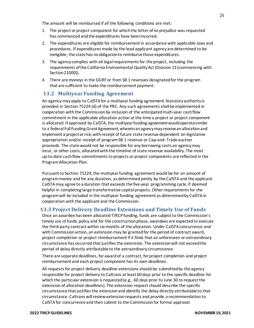The amount will be reimbursed if all the following conditions are met:

- 1. The project or project component for whichthe letter ofno prejudice was requested has commenced and the expenditures have been incurred.
- 2. The expenditures are eligible for reimbursement in accordance with applicable laws and procedures. If expenditures made by the lead applicant agency are determined to be ineligible, the state has no obligation to reimburse those expenditures.
- 3. The agency complies with all legal requirements for the project, including the requirements ofthe California Environmental QualityAct(Division 13 (commencing with Section 21000)).
- 4. There are moneys in the GGRF or from SB 1 revenues designated for the program that are sufficient to make the reimbursement payment.

#### <span id="page-25-0"></span>**13.2 Multiyear Funding Agreement**

An agency may apply to CalSTA for a multiyear funding agreement. Statutory authority is provided in Section 75224 (d) of the PRC. Any such agreements shall be implemented in cooperation with the Commissionby inclusion of the anticipated multi-year cash flow commitment in the applicable allocation action at the time a project or project component is allocated. If approved by CalSTA, the multiyear funding agreement would operate similar to a federal Full Funding Grant Agreement, wherein an agency may receive an allocation and implement a project at risk, with receipt of future state revenue dependent on legislative appropriation and/or receipt of program SB 1 revenue or Cap-and- Trade auction proceeds. The state would not be responsible for any borrowing costs an agency may incur, or other costs, allocated with the timeline of state revenue availability. The most up-to-date cash flow commitments to projects or project components are reflected in the Program Allocation Plan.

Pursuant to Section 75224, the multiyear funding agreement would be for an amount of program money and for any duration, as determined jointly by the CalSTA and the applicant. CalSTA may agree to a duration that exceeds the five-year programming cycle, if deemed helpful in completing large transformative capital projects. Other requirements for the program will be included in the multiyear funding agreement as determined by CalSTA in cooperation with the applicant and the Commission.

#### <span id="page-25-1"></span>**13.3 Project Delivery Deadline Extensions and Timely Use of Funds**

Once an awardee has been allocated TIRCP funding, funds are subject to the Commission's timely use of funds policy and for the construction phase, awardees are expected to execute the third-party contract within six months of the allocation. Under CalSTA concurrence and with Commission action, an extension may be granted for the period of contract award, project completion or project reimbursementif it finds that an unforeseen or extraordinary circumstance has occurred that justifies the extension. The extension will not exceed the period of delay directly attributable to the extraordinary circumstance.

There are separate deadlines, for award of a contract, for project completion and project reimbursement and each project component has its own deadlines.

All requests for project delivery deadline extensions should be submitted by the agency responsible for project delivery to Caltrans at least 60 days prior to the specific deadline for which the particular extension is requested (e.g., 60 days prior to June 30 to request the extension of allocation deadlines). The extension request should describe the specific circumstance that justifies the extension and identify the delay directly attributable to that circumstance. Caltrans will review extension requests and provide a recommendation to CalSTA for concurrence and then submit to the Commission for formal approval.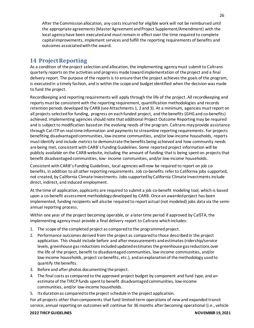After the Commission allocation, any costs incurred for eligible work will not be reimbursed until the appropriate agreements (Master Agreement and Project Supplement/Amendment) with the local agency have been executed and must remain in effect over the time required to complete capital improvements, implement services and fulfill the reporting requirements of benefits and outcomes associated with the award.

## <span id="page-26-0"></span>**14 ProjectReporting**

As a condition of the project selection and allocation, the implementing agency must submit to Caltrans quarterly reports on the activities and progress made toward implementation of the project and a final delivery report. The purpose of the reports is to ensure that the project achieves the goals of the program, is executed in a timely fashion, and is within the scope and budget identified when the decision was made to fund the project.

Recordkeeping and reporting requirements will apply through the life of the project. All recordkeeping and reports must be consistent with the reporting requirement, quantification methodologies and records retention periods developed by CARB (see Attachments 1, 2 and 3). At a minimum, agencies must report on all projects selected for funding, progress on each funded project, and the benefits (GHG and co-benefits) achieved. Implementing agencies should note that additional Project Outcome Reporting may be required and is subject to modification based on the evolving needs of the program. Caltrans may provide assistance through Cal-ITP on real-time information and payments to streamline reporting requirements. For projects benefiting disadvantaged communities, low-income communities, and/or low-income households, reports must identify and include metrics to demonstrate the benefits being achieved and how community needs are being met, consistent with CARB's Funding Guidelines. Some reported project information will be publicly available on the CARB website, including the amount of funding that is being spent on projects that benefit disadvantaged communities, low- income communities, and/or low-income households.

Consistent with CARB's Funding Guidelines, local agencies will now be required to report on job cobenefits, in addition to all other reporting requirements. Job co-benefits refer to California jobs supported, not created, by California Climate Investments. Jobs supported by California Climate Investments include direct, indirect, and induced employment.

At the time of application, applicants are required to submit a job co-benefit modeling tool, which is based upon a co-benefit assessment methodology developed by CARB. Once an awarded project has been implemented, funding recipients will also be required to report actual (not modeled) jobs data via the semiannual reporting process.

Within one year of the project becoming operable, or a later time period if approved by CalSTA, the implementing agency must provide a final delivery report to Caltrans which includes:

- 1. The scope of the completed project as compared to the programmed project.
- 2. Performance outcomes derived from the project as compared to those described in the project application. This should include before and after measurements and estimates (ridership/service levels, greenhouse gas reductions included updated estimates the greenhouse gas reductions over the life of the project, benefit to disadvantaged communities, low-income communities, and/or low-income households, project co-benefits, etc.), and an explanation of the methodology used to quantify the benefits.
- 3. Before and after photos documenting the project.
- 4. The final costs as compared to the approved project budget by component and fund type, and an estimate of the TIRCP funds spent to benefit disadvantaged communities, low-income communities, and/or low-income households.
- 5. Its durationas comparedtothe project schedule in the project application.

For all projects other than components that fund limited-term operations of new and expanded transit service, annual reporting on outcomes will continue for 36 months after becoming operational (i.e., vehicle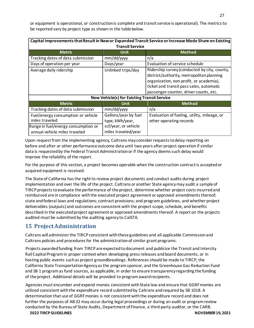or equipment is operational, or construction is complete and transit service is operational). The metrics to be reported vary by project type as shown in the table below.

| Capital Improvements that Result in New or Expanded Transit Service or Increase Mode Share on Existing<br><b>Transit Service</b> |                                             |                                                                                                                                                                                                                            |  |  |
|----------------------------------------------------------------------------------------------------------------------------------|---------------------------------------------|----------------------------------------------------------------------------------------------------------------------------------------------------------------------------------------------------------------------------|--|--|
| <b>Metric</b>                                                                                                                    | <b>Unit</b>                                 | <b>Method</b>                                                                                                                                                                                                              |  |  |
| Tracking dates of data submission                                                                                                | mm/dd/yyyy                                  | n/a                                                                                                                                                                                                                        |  |  |
| Days of operation per year                                                                                                       | Days/year                                   | Evaluation of service schedule                                                                                                                                                                                             |  |  |
| Average daily ridership                                                                                                          | Unlinked trips/day                          | Ridership survey (conducted by city, county,<br>district/authority, metropolitan planning<br>organization, non-profit, or academia),<br>ticket and transit pass sales, automatic<br>passenger counter, driver counts, etc. |  |  |
| <b>New Vehicle(s) for Existing Transit Service</b>                                                                               |                                             |                                                                                                                                                                                                                            |  |  |
| <b>Metric</b>                                                                                                                    | <b>Unit</b>                                 | <b>Method</b>                                                                                                                                                                                                              |  |  |
| Tracking dates of data submission                                                                                                | mm/dd/yyyy                                  | n/a                                                                                                                                                                                                                        |  |  |
| Fuel/energy consumption or vehicle<br>miles traveled                                                                             | Gallons/year by fuel<br>type, kWh/year,     | Evaluation of fueling, utility, mileage, or<br>other operating records                                                                                                                                                     |  |  |
| Range in fuel/energy consumption or<br>annual vehicle miles traveled                                                             | scf/year, or vehicle<br>miles traveled/year |                                                                                                                                                                                                                            |  |  |

Upon request from the implementing agency, Caltrans may consider requests to delay reporting on before and after or other performance outcome data until two years after project operation if similar data is requested by the Federal Transit Administration or if the agency deems such delay would improve the reliability of the report.

For the purpose of this section, a project becomes operable when the construction contract is accepted or acquired equipment is received.

The State of California has the right to review project documents and conduct audits during project implementation and over the life of the project. Caltrans or another State agency may audit a sample of TIRCP projects to evaluate the performance of the project, determine whether project costs incurred and reimbursed are in compliance with the executed project agreement or approved amendments thereof; state and federal laws and regulations; contract provisions; and program guidelines, and whether project deliverables (outputs) and outcomes are consistent with the project scope, schedule, and benefits described in the executed project agreement or approved amendments thereof. A report on the projects audited must be submitted by the auditing agency to CalSTA.

## <span id="page-27-0"></span>**15 ProjectAdministration**

Caltrans will administer the TIRCP consistent with these guidelines and all applicable Commission and Caltrans policies and procedures for the administration of similar grant programs.

Projects awarded funding from TIRCP are expected to document and publicize the Transit and Intercity Rail Capital Program in proper context when developing press releases and board documents, or in hosting public events such as project groundbreakings. References should be made to TIRCP, the California State Transportation Agency as the program sponsor, and the Greenhouse Gas Reduction Fund and SB 1 program as fund sources, as applicable, in order to ensure transparency regarding the funding of the project. Additional details will be provided to program award recipients.

Agencies must encumber and expend monies consistent with State law and ensure that GGRF monies are utilized consistent with the expenditure record submitted by Caltrans and required by SB 1018. A determination that use of GGRF monies is not consistent with the expenditure record and does not further the purposes of AB 32 may occur during legal proceedings or during an audit or program review conducted by the Bureau of State Audits, Department of Finance, a third-party auditor, or the CARB.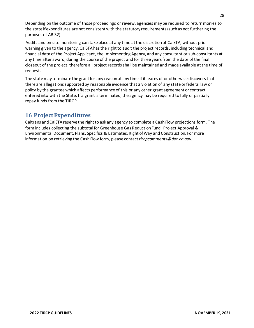Depending on the outcome of those proceedings or review, agencies may be required to return monies to the state if expenditures are not consistent with the statutory requirements (such as not furthering the purposes of AB 32).

Audits and on-site monitoring can take place at any time at the discretion of CalSTA, without prior warning given to the agency. CalSTA has the right to audit the project records, including technical and financial data of the Project Applicant, the Implementing Agency, and any consultant or sub-consultants at any time after award, during the course of the project and for three years from the date of the final closeout of the project, therefore all project records shall be maintained and made available at the time of request.

The state may terminate the grant for any reason at any time if it learns of or otherwise discovers that there are allegations supported by reasonable evidence that a violation of any state or federal law or policy by the grantee which affects performance of this or any other grant agreement or contract entered into with the State. If a grant is terminated, the agency may be required to fully or partially repay funds from the TIRCP.

## <span id="page-28-0"></span>**16 ProjectExpenditures**

Caltrans and CalSTA reserve the right to ask any agency to complete a Cash Flow projections form. The form includes collecting the subtotal for Greenhouse Gas Reduction Fund, Project Approval & Environmental Document, Plans, Specifics & Estimates, Right ofWay and Construction. For more information on retrieving the Cash Flow form, please contact *tircpcomments@dot.ca.gov*.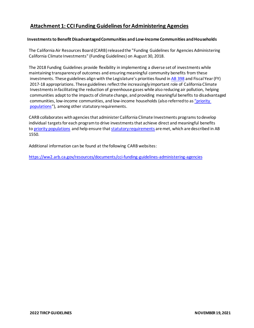## <span id="page-29-0"></span>**Attachment 1: CCI Funding Guidelines for Administering Agencies**

#### **Investments to Benefit Disadvantaged Communities and Low-Income Communities and Households**

The California Air Resources Board (CARB) released the "Funding Guidelines for Agencies Administering California Climate Investments" (Funding Guidelines) on August 30, 2018.

The 2018 Funding Guidelines provide flexibility in implementing a diverse set of investments while maintaining transparency of outcomes and ensuring meaningful community benefits from these investments. These guidelines align with the Legislature's priorities found in [AB 398](https://leginfo.legislature.ca.gov/faces/billNavClient.xhtml?bill_id=201720180AB398) and Fiscal Year (FY) 2017-18 appropriations. These guidelines reflect the increasingly important role of California Climate Investments in facilitating the reduction of greenhouse gases while also reducing air pollution, helping communities adapt to the impacts of climate change, and providing meaningful benefits to disadvantaged communities, low-income communities, and low-income households (also referred to as ["priority](https://webmaps.arb.ca.gov/PriorityPopulations/)  [populations"](https://webmaps.arb.ca.gov/PriorityPopulations/)), among other statutory requirements.

CARB collaborates with agencies that administer California Climate Investments programs to develop individual targets for each program to drive investments that achieve direct and meaningful benefits to [priority populations](https://www.arb.ca.gov/cc/capandtrade/auctionproceeds/communityinvestments.htm) and help ensure that statutory requirements are met, which are described in AB 1550.

Additional information can be found at the following CARB websites:

<https://ww2.arb.ca.gov/resources/documents/cci-funding-guidelines-administering-agencies>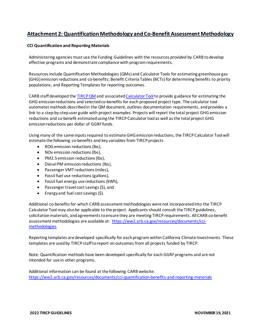## <span id="page-31-0"></span>**Attachment 2: Quantification Methodology and Co-Benefit Assessment Methodology**

#### **CCI Quantification and Reporting Materials**

Administering agencies must use the Funding Guidelines with the resources provided by CARB to develop effective programs and demonstrate compliance with program requirements.

Resources include Quantification Methodologies (QMs) and Calculator Tools for estimating greenhouse gas (GHG) emission reductions and co-benefits; Benefit Criteria Tables (BCTs) for determining benefits to priority populations; and Reporting Templates for reporting outcomes.

CARB staff developed the [TIRCP QM](https://www.arb.ca.gov/cc/capandtrade/auctionproceeds/calsta_tircp_finalqm_cycle4.pdf?_ga=2.153538232.1048667823.1635195376-1725670222.1600706853) and associate[d Calculator Tool](https://www.arb.ca.gov/cc/capandtrade/auctionproceeds/calsta_tircp_finalcalculator_cycle4.xlsx?_ga=2.229951516.1048667823.1635195376-1725670222.1600706853) to provide guidance for estimating the GHG emission reductions and selected co-benefits for each proposed project type. The calculator tool automates methods described in the QM document, outlines documentation requirements, and provides a link to a step-by-step user guide with project examples. Projects will report the total project GHG emission reductions and co-benefit estimated using the TIRCP Calculator tool as well as the total project GHG emission reductions per dollar of GGRF funds.

Using many of the same inputs required to estimate GHG emission reductions, the TIRCP Calculator Tool will estimate the following co-benefits and key variables from TIRCP projects

- ROG emission reductions (lbs),
- NOx emission reductions (lbs),
- PM2.5 emission reductions (lbs),
- Diesel PM emission reductions (lbs),
- Passenger VMT reductions (miles),
- Fossil fuel use reductions (gallons),
- Fossil fuel energy use reductions (kWh),
- Passenger travel cost savings (\$), and
- Energy and fuel cost savings (\$).

Additional co-benefits for which CARB assessment methodologies were not incorporated into the TIRCP Calculator Tool may also be applicable to the project. Applicants should consult the TIRCP guidelines, solicitation materials, and agreements to ensure they are meeting TIRCP requirements. All CARB co-benefit assessment methodologies are available at: [https://ww2.arb.ca.gov/resources/documents/cci](https://ww2.arb.ca.gov/resources/documents/cci-methodologies)[methodologies](https://ww2.arb.ca.gov/resources/documents/cci-methodologies)

Reporting templates are developed specifically for each program within California Climate Investments. These templates are used by TIRCP staff to report on outcomes from all projects funded by TIRCP.

Note: Quantification methods have been developed specifically for each GGRF programs and are not intended for use in other programs.

Additional information can be found at the following CARB website: <https://ww2.arb.ca.gov/resources/documents/cci-quantification-benefits-and-reporting-materials>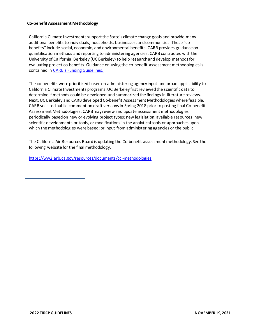#### **Co-benefit Assessment Methodology**

California Climate Investments support the State's climate change goals and provide many additional benefits to individuals, households, businesses, and communities. These "cobenefits" include social, economic, and environmental benefits. CARB provides guidance on quantification methods and reporting to administering agencies. CARB contracted with the University of California, Berkeley (UC Berkeley) to help research and develop methods for evaluating project co-benefits. Guidance on using the co-benefit assessment methodologies is contained in [CARB's Funding Guidelines.](https://ww2.arb.ca.gov/resources/documents/cci-funding-guidelines-administering-agencies)

The co-benefits were prioritized based on administering agency input and broad applicability to California Climate Investments programs. UC Berkeley first reviewed the scientific data to determine if methods could be developed and summarized the findings in literature reviews. Next, UC Berkeley and CARB developed Co-benefit Assessment Methodologies where feasible. CARB solicited public comment on draft versions in Spring 2018 prior to posting final Co-benefit Assessment Methodologies. CARB may review and update assessment methodologies periodically based on new or evolving project types; new legislation; available resources; new scientific developments or tools, or modifications in the analytical tools or approaches upon which the methodologies were based; or input from administering agencies or the public.

The California Air Resources Board is updating the Co-benefit assessment methodology. See the following website for the final methodology.

<https://ww2.arb.ca.gov/resources/documents/cci-methodologies>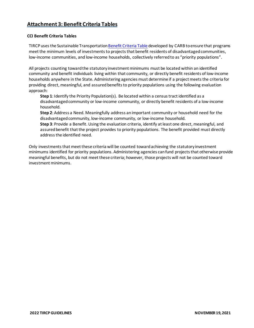## <span id="page-33-0"></span>**Attachment 3: Benefit Criteria Tables**

#### **CCI Benefit Criteria Tables**

TIRCP uses the Sustainable Transportatio[n Benefit Criteria Table](https://www.arb.ca.gov/cc/capandtrade/auctionproceeds/criteria-table-sustainabletransportation.pdf?_ga=2.225888282.1048667823.1635195376-1725670222.1600706853) developed by CARB to ensure that programs meet the minimum levels of investments to projects that benefit residents of disadvantaged communities, low-income communities, and low-income households, collectively referred to as "priority populations".

All projects counting toward the statutory investment minimums must be located within an identified community and benefit individuals living within that community, or directly benefit residents of low-income households anywhere in the State. Administering agencies must determine if a project meets the criteria for providing direct, meaningful, and assured benefits to priority populations using the following evaluation approach:

**Step 1**: Identify the Priority Population(s). Be located within a census tract identified as a disadvantaged community or low-income community, or directly benefit residents of a low-income household.

**Step 2**: Address a Need. Meaningfully address an important community or household need for the disadvantaged community, low-income community, or low-income household.

**Step 3**: Provide a Benefit. Using the evaluation criteria, identify at least one direct, meaningful, and assured benefit that the project provides to priority populations. The benefit provided must directly address the identified need.

Only investments that meet these criteria will be counted toward achieving the statutory investment minimums identified for priority populations. Administering agencies can fund projects that otherwise provide meaningful benefits, but do not meet these criteria; however, those projects will not be counted toward investment minimums.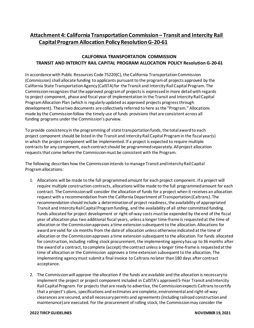## <span id="page-34-0"></span>**Attachment 4: California Transportation Commission – Transit and Intercity Rail Capital Program Allocation Policy Resolution G-20-61**

#### **CALIFORNIA TRANSPORTATION COMMISSION TRANSIT AND INTERCITY RAIL CAPITAL PROGRAM ALLOCATION POLICY Resolution G-20-61**

In accordance with Public Resources Code 75220(C), the California Transportation Commission (Commission) shall allocate funding to applicants pursuant to the program of projects approved by the California State Transportation Agency (CalSTA) for the Transit and Intercity Rail Capital Program. The Commission recognizes that the approved program of projects is expressed in more detail with regards to project component, phase and fiscal year of implementation in the Transit and Intercity Rail Capital Program Allocation Plan (which is regularly updated as approved projects progress through development). These two documents are collectively referred to here as the "Program." Allocations made by the Commission follow the timely use of funds provisions that are consistent across all funding programs under the Commission's purview.

To provide consistency in the programming of state transportation funds, the total award to each project component should be listed in the Transit and Intercity Rail Capital Program in the fiscal year(s) in which the project component will be implemented. If a project is expected to require multiple contracts for any component, each contract should be programmed separately. All project allocation requests that come before the Commission must be consistent with the Program.

The following describes how the Commission intends to manage Transit and Intercity Rail Capital Program allocations:

- 1. Allocations will be made to the full programmed amount for each project component. If a project will require multiple construction contracts, allocations will be made to the full programmed amount for each contract. The Commission will consider the allocation of funds for a project when it receives an allocation request with a recommendation from the California Department of Transportation (Caltrans). The recommendation should include a determination of project readiness, the availability of appropriated Transit and Intercity Rail Capital Program funding, and the availability of all other committed funding. Funds allocated for project development or right-of-way costs must be expended by the end of the fiscal year of allocation plus two additional fiscal years, unless a longer time-frame is requested at the time of allocation or the Commission approves a time extension subsequent to the allocation. Allocations for award are valid for six months from the date of allocation unless otherwise indicated at the time of allocation or the Commission approves a time extension subsequent to the allocation. For funds allocated for construction, including rolling stock procurement, the implementing agency has up to 36 months after the award of a contract, to complete (accept) the contract unless a longer time-frame is requested at the time of allocation or the Commission approves a time extension subsequent to the allocation. The implementing agency must submit a final invoice to Caltrans no later than 180 days after contract acceptance.
- 2. The Commission will approve the allocation if the funds are available and the allocation is necessary to implement the project or project component included in CalSTA's approved 5-Year Transit and Intercity Rail Capital Program. For projects that are ready to advertise, the Commission expects Caltrans to certify that a project's plans, specifications and estimates are complete, environmental and right-of-way clearances are secured, and all necessary permits and agreements (including railroad construction and maintenance) are executed. For the procurement of rolling stock, the Commission may consider the